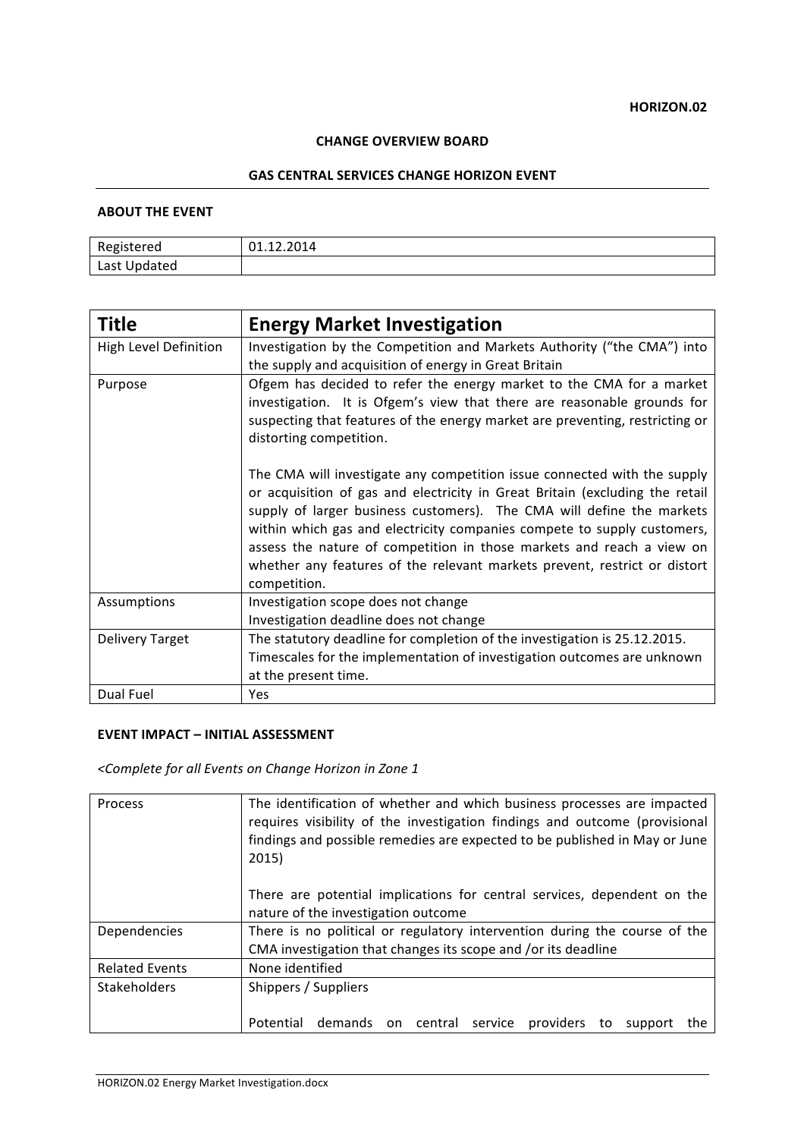## **CHANGE OVERVIEW BOARD**

#### **GAS CENTRAL SERVICES CHANGE HORIZON EVENT**

## **ABOUT THE EVENT**

| Registered   | 01.12.2014 |
|--------------|------------|
| Last Updated |            |

| <b>Title</b>           | <b>Energy Market Investigation</b>                                                                                                                                                                                                                                                                                                                                                                                                                                                 |
|------------------------|------------------------------------------------------------------------------------------------------------------------------------------------------------------------------------------------------------------------------------------------------------------------------------------------------------------------------------------------------------------------------------------------------------------------------------------------------------------------------------|
| High Level Definition  | Investigation by the Competition and Markets Authority ("the CMA") into                                                                                                                                                                                                                                                                                                                                                                                                            |
|                        | the supply and acquisition of energy in Great Britain                                                                                                                                                                                                                                                                                                                                                                                                                              |
| Purpose                | Ofgem has decided to refer the energy market to the CMA for a market<br>investigation. It is Ofgem's view that there are reasonable grounds for<br>suspecting that features of the energy market are preventing, restricting or<br>distorting competition.                                                                                                                                                                                                                         |
|                        | The CMA will investigate any competition issue connected with the supply<br>or acquisition of gas and electricity in Great Britain (excluding the retail<br>supply of larger business customers). The CMA will define the markets<br>within which gas and electricity companies compete to supply customers,<br>assess the nature of competition in those markets and reach a view on<br>whether any features of the relevant markets prevent, restrict or distort<br>competition. |
| Assumptions            | Investigation scope does not change<br>Investigation deadline does not change                                                                                                                                                                                                                                                                                                                                                                                                      |
| <b>Delivery Target</b> | The statutory deadline for completion of the investigation is 25.12.2015.                                                                                                                                                                                                                                                                                                                                                                                                          |
|                        | Timescales for the implementation of investigation outcomes are unknown                                                                                                                                                                                                                                                                                                                                                                                                            |
|                        | at the present time.                                                                                                                                                                                                                                                                                                                                                                                                                                                               |
| Dual Fuel              | Yes.                                                                                                                                                                                                                                                                                                                                                                                                                                                                               |

# **EVENT IMPACT – INITIAL ASSESSMENT**

*<Complete for all Events on Change Horizon in Zone 1*

| Process               | The identification of whether and which business processes are impacted<br>requires visibility of the investigation findings and outcome (provisional<br>findings and possible remedies are expected to be published in May or June<br>2015) |
|-----------------------|----------------------------------------------------------------------------------------------------------------------------------------------------------------------------------------------------------------------------------------------|
|                       | There are potential implications for central services, dependent on the<br>nature of the investigation outcome                                                                                                                               |
| Dependencies          | There is no political or regulatory intervention during the course of the<br>CMA investigation that changes its scope and /or its deadline                                                                                                   |
| <b>Related Events</b> | None identified                                                                                                                                                                                                                              |
| <b>Stakeholders</b>   | Shippers / Suppliers                                                                                                                                                                                                                         |
|                       | Potential demands on central<br>service providers<br>to<br>support<br>the                                                                                                                                                                    |